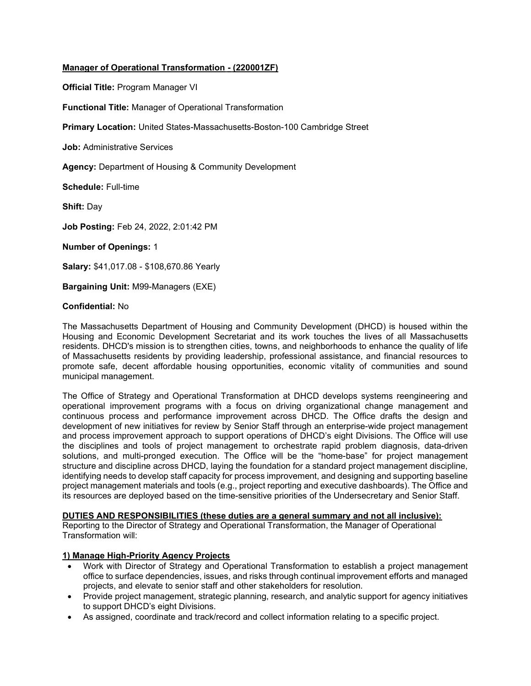# Manager of Operational Transformation - (220001ZF)

Official Title: Program Manager VI

Functional Title: Manager of Operational Transformation

Primary Location: United States-Massachusetts-Boston-100 Cambridge Street

Job: Administrative Services

Agency: Department of Housing & Community Development

Schedule: Full-time

Shift: Day

Job Posting: Feb 24, 2022, 2:01:42 PM

Number of Openings: 1

Salary: \$41,017.08 - \$108,670.86 Yearly

Bargaining Unit: M99-Managers (EXE)

#### Confidential: No

The Massachusetts Department of Housing and Community Development (DHCD) is housed within the Housing and Economic Development Secretariat and its work touches the lives of all Massachusetts residents. DHCD's mission is to strengthen cities, towns, and neighborhoods to enhance the quality of life of Massachusetts residents by providing leadership, professional assistance, and financial resources to promote safe, decent affordable housing opportunities, economic vitality of communities and sound municipal management.

The Office of Strategy and Operational Transformation at DHCD develops systems reengineering and operational improvement programs with a focus on driving organizational change management and continuous process and performance improvement across DHCD. The Office drafts the design and development of new initiatives for review by Senior Staff through an enterprise-wide project management and process improvement approach to support operations of DHCD's eight Divisions. The Office will use the disciplines and tools of project management to orchestrate rapid problem diagnosis, data-driven solutions, and multi-pronged execution. The Office will be the "home-base" for project management structure and discipline across DHCD, laying the foundation for a standard project management discipline, identifying needs to develop staff capacity for process improvement, and designing and supporting baseline project management materials and tools (e.g., project reporting and executive dashboards). The Office and its resources are deployed based on the time-sensitive priorities of the Undersecretary and Senior Staff.

#### DUTIES AND RESPONSIBILITIES (these duties are a general summary and not all inclusive):

Reporting to the Director of Strategy and Operational Transformation, the Manager of Operational Transformation will:

#### 1) Manage High-Priority Agency Projects

- Work with Director of Strategy and Operational Transformation to establish a project management office to surface dependencies, issues, and risks through continual improvement efforts and managed projects, and elevate to senior staff and other stakeholders for resolution.
- Provide project management, strategic planning, research, and analytic support for agency initiatives to support DHCD's eight Divisions.
- As assigned, coordinate and track/record and collect information relating to a specific project.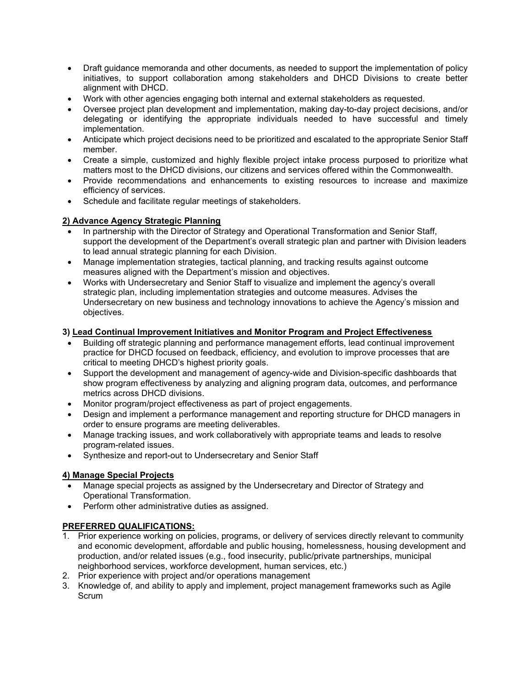- Draft guidance memoranda and other documents, as needed to support the implementation of policy initiatives, to support collaboration among stakeholders and DHCD Divisions to create better alignment with DHCD.
- Work with other agencies engaging both internal and external stakeholders as requested.
- Oversee project plan development and implementation, making day-to-day project decisions, and/or delegating or identifying the appropriate individuals needed to have successful and timely implementation.
- Anticipate which project decisions need to be prioritized and escalated to the appropriate Senior Staff member.
- Create a simple, customized and highly flexible project intake process purposed to prioritize what matters most to the DHCD divisions, our citizens and services offered within the Commonwealth.
- Provide recommendations and enhancements to existing resources to increase and maximize efficiency of services.
- Schedule and facilitate regular meetings of stakeholders.

## 2) Advance Agency Strategic Planning

- In partnership with the Director of Strategy and Operational Transformation and Senior Staff, support the development of the Department's overall strategic plan and partner with Division leaders to lead annual strategic planning for each Division.
- Manage implementation strategies, tactical planning, and tracking results against outcome measures aligned with the Department's mission and objectives.
- Works with Undersecretary and Senior Staff to visualize and implement the agency's overall strategic plan, including implementation strategies and outcome measures. Advises the Undersecretary on new business and technology innovations to achieve the Agency's mission and objectives.

### 3) Lead Continual Improvement Initiatives and Monitor Program and Project Effectiveness

- Building off strategic planning and performance management efforts, lead continual improvement practice for DHCD focused on feedback, efficiency, and evolution to improve processes that are critical to meeting DHCD's highest priority goals.
- Support the development and management of agency-wide and Division-specific dashboards that show program effectiveness by analyzing and aligning program data, outcomes, and performance metrics across DHCD divisions.
- Monitor program/project effectiveness as part of project engagements.
- Design and implement a performance management and reporting structure for DHCD managers in order to ensure programs are meeting deliverables.
- Manage tracking issues, and work collaboratively with appropriate teams and leads to resolve program-related issues.
- Synthesize and report-out to Undersecretary and Senior Staff

## 4) Manage Special Projects

- Manage special projects as assigned by the Undersecretary and Director of Strategy and Operational Transformation.
- Perform other administrative duties as assigned.

#### PREFERRED QUALIFICATIONS:

- 1. Prior experience working on policies, programs, or delivery of services directly relevant to community and economic development, affordable and public housing, homelessness, housing development and production, and/or related issues (e.g., food insecurity, public/private partnerships, municipal neighborhood services, workforce development, human services, etc.)
- 2. Prior experience with project and/or operations management
- 3. Knowledge of, and ability to apply and implement, project management frameworks such as Agile **Scrum**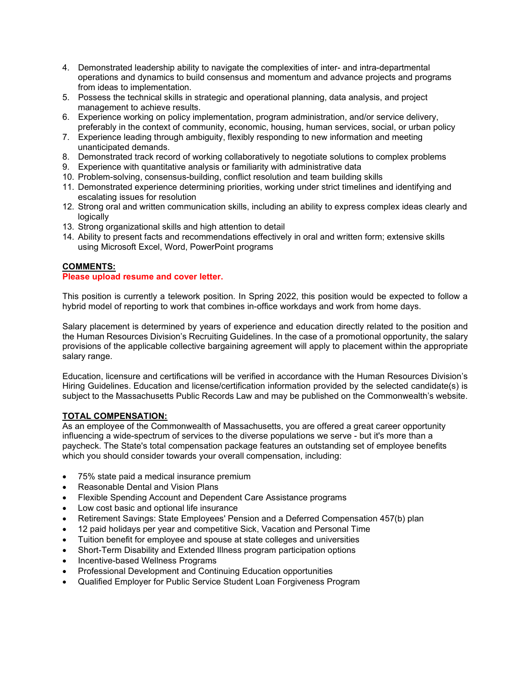- 4. Demonstrated leadership ability to navigate the complexities of inter- and intra-departmental operations and dynamics to build consensus and momentum and advance projects and programs from ideas to implementation.
- 5. Possess the technical skills in strategic and operational planning, data analysis, and project management to achieve results.
- 6. Experience working on policy implementation, program administration, and/or service delivery, preferably in the context of community, economic, housing, human services, social, or urban policy
- 7. Experience leading through ambiguity, flexibly responding to new information and meeting unanticipated demands.
- 8. Demonstrated track record of working collaboratively to negotiate solutions to complex problems
- 9. Experience with quantitative analysis or familiarity with administrative data
- 10. Problem-solving, consensus-building, conflict resolution and team building skills
- 11. Demonstrated experience determining priorities, working under strict timelines and identifying and escalating issues for resolution
- 12. Strong oral and written communication skills, including an ability to express complex ideas clearly and logically
- 13. Strong organizational skills and high attention to detail
- 14. Ability to present facts and recommendations effectively in oral and written form; extensive skills using Microsoft Excel, Word, PowerPoint programs

### COMMENTS:

### Please upload resume and cover letter.

This position is currently a telework position. In Spring 2022, this position would be expected to follow a hybrid model of reporting to work that combines in-office workdays and work from home days.

Salary placement is determined by years of experience and education directly related to the position and the Human Resources Division's Recruiting Guidelines. In the case of a promotional opportunity, the salary provisions of the applicable collective bargaining agreement will apply to placement within the appropriate salary range.

Education, licensure and certifications will be verified in accordance with the Human Resources Division's Hiring Guidelines. Education and license/certification information provided by the selected candidate(s) is subject to the Massachusetts Public Records Law and may be published on the Commonwealth's website.

#### TOTAL COMPENSATION:

As an employee of the Commonwealth of Massachusetts, you are offered a great career opportunity influencing a wide-spectrum of services to the diverse populations we serve - but it's more than a paycheck. The State's total compensation package features an outstanding set of employee benefits which you should consider towards your overall compensation, including:

- 75% state paid a medical insurance premium
- Reasonable Dental and Vision Plans
- Flexible Spending Account and Dependent Care Assistance programs
- Low cost basic and optional life insurance
- Retirement Savings: State Employees' Pension and a Deferred Compensation 457(b) plan
- 12 paid holidays per year and competitive Sick, Vacation and Personal Time
- Tuition benefit for employee and spouse at state colleges and universities
- Short-Term Disability and Extended Illness program participation options
- Incentive-based Wellness Programs
- Professional Development and Continuing Education opportunities
- Qualified Employer for Public Service Student Loan Forgiveness Program